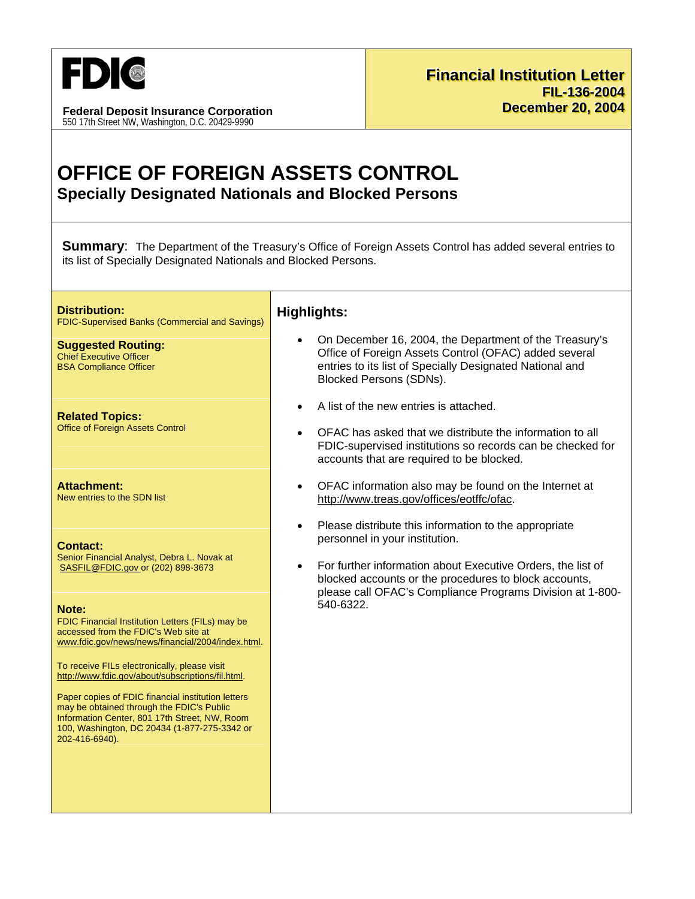

**Federal Deposit Insurance Corporation** 550 17th Street NW, Washington, D.C. 20429-9990

# OFFICE OF FOREIGN ASSETS CONTROL **Specially Designated Nationals and Blocked Persons**

**Summary:** The Department of the Treasury's Office of Foreign Assets Control has added several entries to its list of Specially Designated Nationals and Blocked Persons.

**Distribution: FDIC-Supervised Banks (Commercial and Savings)** 

**Suggested Routing: Chief Executive Officer BSA Compliance Officer** 

**Related Topics: Office of Foreign Assets Control** 

**Attachment:** New entries to the SDN list

**Contact:** 

Senior Financial Analyst, Debra L. Novak at SASFIL@FDIC.gov\_or (202) 898-3673

#### Note:

FDIC Financial Institution Letters (FILs) may be accessed from the FDIC's Web site at www.fdic.gov/news/news/financial/2004/index.html.

To receive FILs electronically, please visit http://www.fdic.gov/about/subscriptions/fil.html.

Paper copies of FDIC financial institution letters may be obtained through the FDIC's Public Information Center, 801 17th Street, NW, Room 100, Washington, DC 20434 (1-877-275-3342 or 202-416-6940).

## **Highlights:**

- On December 16, 2004, the Department of the Treasury's Office of Foreign Assets Control (OFAC) added several entries to its list of Specially Designated National and **Blocked Persons (SDNs).**
- A list of the new entries is attached.
- OFAC has asked that we distribute the information to all FDIC-supervised institutions so records can be checked for accounts that are required to be blocked.
- OFAC information also may be found on the Internet at http://www.treas.gov/offices/eotffc/ofac.
- Please distribute this information to the appropriate personnel in your institution.
- For further information about Executive Orders, the list of blocked accounts or the procedures to block accounts, please call OFAC's Compliance Programs Division at 1-800-540-6322.